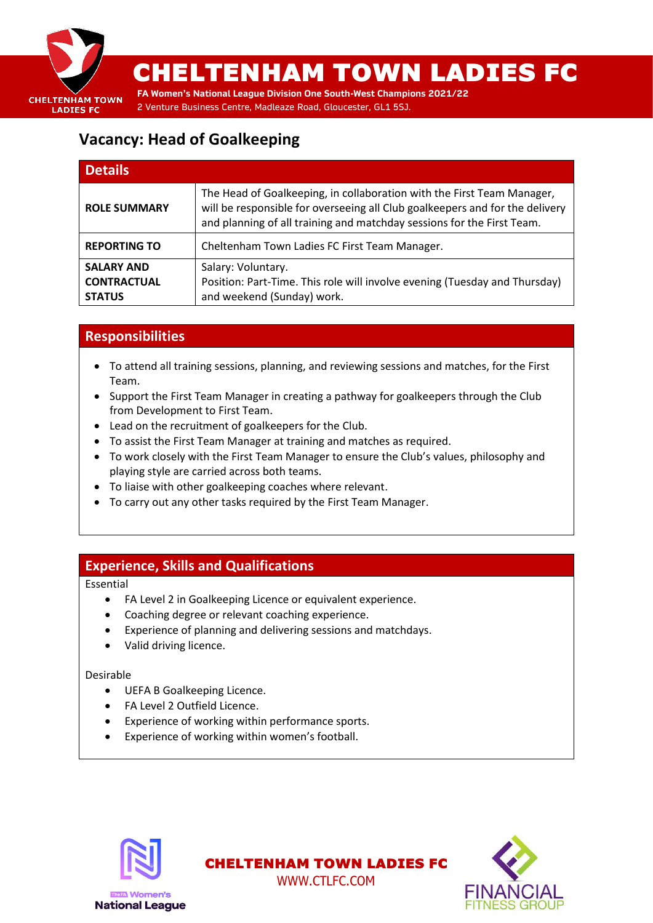

# CHELTENHAM TOWN LADIES FC

**FA Women's National League Division One South-West Champions 2021/22** 2 Venture Business Centre, Madleaze Road, Gloucester, GL1 5SJ.

## **Vacancy: Head of Goalkeeping**

| <b>Details</b>                                           |                                                                                                                                                                                                                                  |
|----------------------------------------------------------|----------------------------------------------------------------------------------------------------------------------------------------------------------------------------------------------------------------------------------|
| <b>ROLE SUMMARY</b>                                      | The Head of Goalkeeping, in collaboration with the First Team Manager,<br>will be responsible for overseeing all Club goalkeepers and for the delivery<br>and planning of all training and matchday sessions for the First Team. |
| <b>REPORTING TO</b>                                      | Cheltenham Town Ladies FC First Team Manager.                                                                                                                                                                                    |
| <b>SALARY AND</b><br><b>CONTRACTUAL</b><br><b>STATUS</b> | Salary: Voluntary.<br>Position: Part-Time. This role will involve evening (Tuesday and Thursday)<br>and weekend (Sunday) work.                                                                                                   |

## **Responsibilities**

- To attend all training sessions, planning, and reviewing sessions and matches, for the First Team.
- Support the First Team Manager in creating a pathway for goalkeepers through the Club from Development to First Team.
- Lead on the recruitment of goalkeepers for the Club.
- To assist the First Team Manager at training and matches as required.
- To work closely with the First Team Manager to ensure the Club's values, philosophy and playing style are carried across both teams.

CHELTENHAM TOWN LADIES FC WWW.CTLFC.COM

- To liaise with other goalkeeping coaches where relevant.
- To carry out any other tasks required by the First Team Manager.

### **Experience, Skills and Qualifications**

Essential

- FA Level 2 in Goalkeeping Licence or equivalent experience.
- Coaching degree or relevant coaching experience.
- Experience of planning and delivering sessions and matchdays.
- Valid driving licence.

#### Desirable

- UEFA B Goalkeeping Licence.
- FA Level 2 Outfield Licence.
- Experience of working within performance sports.
- Experience of working within women's football.